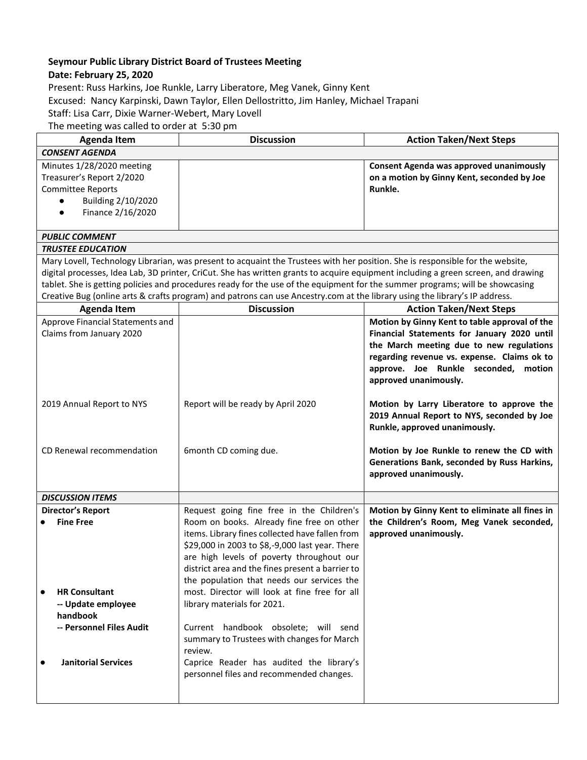## **Seymour Public Library District Board of Trustees Meeting**

## **Date: February 25, 2020**

Present: Russ Harkins, Joe Runkle, Larry Liberatore, Meg Vanek, Ginny Kent Excused: Nancy Karpinski, Dawn Taylor, Ellen Dellostritto, Jim Hanley, Michael Trapani Staff: Lisa Carr, Dixie Warner-Webert, Mary Lovell The meeting was called to order at 5:30 pm

| <b>Agenda Item</b>                                                                                                                                                                                                                                                                                                                                                                                                                                                                                                                   | <b>Discussion</b>                                                                                                                                                                                                                                                                                                                           | <b>Action Taken/Next Steps</b>                                                                                                                                                                                                                           |  |
|--------------------------------------------------------------------------------------------------------------------------------------------------------------------------------------------------------------------------------------------------------------------------------------------------------------------------------------------------------------------------------------------------------------------------------------------------------------------------------------------------------------------------------------|---------------------------------------------------------------------------------------------------------------------------------------------------------------------------------------------------------------------------------------------------------------------------------------------------------------------------------------------|----------------------------------------------------------------------------------------------------------------------------------------------------------------------------------------------------------------------------------------------------------|--|
| <b>CONSENT AGENDA</b>                                                                                                                                                                                                                                                                                                                                                                                                                                                                                                                |                                                                                                                                                                                                                                                                                                                                             |                                                                                                                                                                                                                                                          |  |
| Minutes 1/28/2020 meeting<br>Treasurer's Report 2/2020<br><b>Committee Reports</b><br>Building 2/10/2020<br>Finance 2/16/2020                                                                                                                                                                                                                                                                                                                                                                                                        |                                                                                                                                                                                                                                                                                                                                             | Consent Agenda was approved unanimously<br>on a motion by Ginny Kent, seconded by Joe<br>Runkle.                                                                                                                                                         |  |
| <b>PUBLIC COMMENT</b>                                                                                                                                                                                                                                                                                                                                                                                                                                                                                                                |                                                                                                                                                                                                                                                                                                                                             |                                                                                                                                                                                                                                                          |  |
| <b>TRUSTEE EDUCATION</b>                                                                                                                                                                                                                                                                                                                                                                                                                                                                                                             |                                                                                                                                                                                                                                                                                                                                             |                                                                                                                                                                                                                                                          |  |
| Mary Lovell, Technology Librarian, was present to acquaint the Trustees with her position. She is responsible for the website,<br>digital processes, Idea Lab, 3D printer, CriCut. She has written grants to acquire equipment including a green screen, and drawing<br>tablet. She is getting policies and procedures ready for the use of the equipment for the summer programs; will be showcasing<br>Creative Bug (online arts & crafts program) and patrons can use Ancestry.com at the library using the library's IP address. |                                                                                                                                                                                                                                                                                                                                             |                                                                                                                                                                                                                                                          |  |
| <b>Agenda Item</b>                                                                                                                                                                                                                                                                                                                                                                                                                                                                                                                   | <b>Discussion</b>                                                                                                                                                                                                                                                                                                                           | <b>Action Taken/Next Steps</b>                                                                                                                                                                                                                           |  |
| Approve Financial Statements and<br>Claims from January 2020                                                                                                                                                                                                                                                                                                                                                                                                                                                                         |                                                                                                                                                                                                                                                                                                                                             | Motion by Ginny Kent to table approval of the<br>Financial Statements for January 2020 until<br>the March meeting due to new regulations<br>regarding revenue vs. expense. Claims ok to<br>approve. Joe Runkle seconded, motion<br>approved unanimously. |  |
| 2019 Annual Report to NYS                                                                                                                                                                                                                                                                                                                                                                                                                                                                                                            | Report will be ready by April 2020                                                                                                                                                                                                                                                                                                          | Motion by Larry Liberatore to approve the<br>2019 Annual Report to NYS, seconded by Joe<br>Runkle, approved unanimously.                                                                                                                                 |  |
| CD Renewal recommendation                                                                                                                                                                                                                                                                                                                                                                                                                                                                                                            | 6month CD coming due.                                                                                                                                                                                                                                                                                                                       | Motion by Joe Runkle to renew the CD with<br>Generations Bank, seconded by Russ Harkins,<br>approved unanimously.                                                                                                                                        |  |
| <b>DISCUSSION ITEMS</b>                                                                                                                                                                                                                                                                                                                                                                                                                                                                                                              |                                                                                                                                                                                                                                                                                                                                             |                                                                                                                                                                                                                                                          |  |
| <b>Director's Report</b><br><b>Fine Free</b>                                                                                                                                                                                                                                                                                                                                                                                                                                                                                         | Request going fine free in the Children's<br>Room on books. Already fine free on other<br>items. Library fines collected have fallen from<br>\$29,000 in 2003 to \$8,-9,000 last year. There<br>are high levels of poverty throughout our<br>district area and the fines present a barrier to<br>the population that needs our services the | Motion by Ginny Kent to eliminate all fines in<br>the Children's Room, Meg Vanek seconded,<br>approved unanimously.                                                                                                                                      |  |
| <b>HR Consultant</b><br>-- Update employee<br>handbook                                                                                                                                                                                                                                                                                                                                                                                                                                                                               | most. Director will look at fine free for all<br>library materials for 2021.                                                                                                                                                                                                                                                                |                                                                                                                                                                                                                                                          |  |
| -- Personnel Files Audit                                                                                                                                                                                                                                                                                                                                                                                                                                                                                                             | Current handbook obsolete; will send<br>summary to Trustees with changes for March<br>review.                                                                                                                                                                                                                                               |                                                                                                                                                                                                                                                          |  |
| <b>Janitorial Services</b>                                                                                                                                                                                                                                                                                                                                                                                                                                                                                                           | Caprice Reader has audited the library's<br>personnel files and recommended changes.                                                                                                                                                                                                                                                        |                                                                                                                                                                                                                                                          |  |